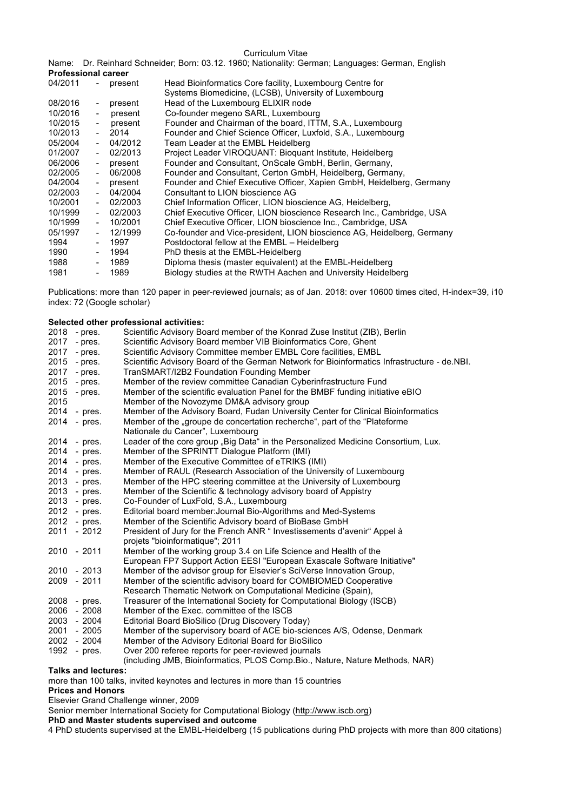## Curriculum Vitae

Name: Dr. Reinhard Schneider; Born: 03.12. 1960; Nationality: German; Languages: German, English **Professional career**

|                          | present | Head Bioinformatics Core facility, Luxembourg Centre for                                                                 |  |  |
|--------------------------|---------|--------------------------------------------------------------------------------------------------------------------------|--|--|
|                          |         | Systems Biomedicine, (LCSB), University of Luxembourg                                                                    |  |  |
| $\sim$                   | present | Head of the Luxembourg ELIXIR node                                                                                       |  |  |
| $\overline{\phantom{a}}$ | present | Co-founder megeno SARL, Luxembourg                                                                                       |  |  |
|                          | present | Founder and Chairman of the board, ITTM, S.A., Luxembourg                                                                |  |  |
|                          |         | Founder and Chief Science Officer, Luxfold, S.A., Luxembourg                                                             |  |  |
| $\blacksquare$           | 04/2012 | Team Leader at the EMBL Heidelberg                                                                                       |  |  |
|                          |         | Project Leader VIROQUANT: Bioquant Institute, Heidelberg                                                                 |  |  |
|                          |         | Founder and Consultant, OnScale GmbH, Berlin, Germany,                                                                   |  |  |
|                          | 06/2008 | Founder and Consultant, Certon GmbH, Heidelberg, Germany,                                                                |  |  |
|                          | present | Founder and Chief Executive Officer, Xapien GmbH, Heidelberg, Germany                                                    |  |  |
| $\sim$                   | 04/2004 | Consultant to LION bioscience AG                                                                                         |  |  |
| $\overline{a}$           | 02/2003 | Chief Information Officer, LION bioscience AG, Heidelberg,                                                               |  |  |
|                          | 02/2003 | Chief Executive Officer, LION bioscience Research Inc., Cambridge, USA                                                   |  |  |
|                          | 10/2001 | Chief Executive Officer, LION bioscience Inc., Cambridge, USA                                                            |  |  |
| $\sim$                   | 12/1999 | Co-founder and Vice-president, LION bioscience AG, Heidelberg, Germany                                                   |  |  |
|                          | 1997    | Postdoctoral fellow at the EMBL - Heidelberg                                                                             |  |  |
| $\blacksquare$           | 1994    | PhD thesis at the EMBL-Heidelberg                                                                                        |  |  |
| $\blacksquare$           | 1989    | Diploma thesis (master equivalent) at the EMBL-Heidelberg                                                                |  |  |
|                          | 1989    | Biology studies at the RWTH Aachen and University Heidelberg                                                             |  |  |
|                          |         | $\sim 100$<br>$-2014$<br>$-02/2013$<br>- present<br>$\sim$ 10 $\pm$<br>$\sim$ 10 $\pm$<br>$\sim$ 100 $\mu$<br>$\sim 100$ |  |  |

Publications: more than 120 paper in peer-reviewed journals; as of Jan. 2018: over 10600 times cited, H-index=39, i10 index: 72 (Google scholar)

## **Selected other professional activities:**

|      | 2018 - pres. | Scientific Advisory Board member of the Konrad Zuse Institut (ZIB), Berlin                  |
|------|--------------|---------------------------------------------------------------------------------------------|
| 2017 | - pres.      | Scientific Advisory Board member VIB Bioinformatics Core, Ghent                             |
| 2017 | - pres.      | Scientific Advisory Committee member EMBL Core facilities, EMBL                             |
| 2015 | - pres.      | Scientific Advisory Board of the German Network for Bioinformatics Infrastructure - de.NBI. |
| 2017 | - pres.      | TranSMART/I2B2 Foundation Founding Member                                                   |
| 2015 | - pres.      | Member of the review committee Canadian Cyberinfrastructure Fund                            |
| 2015 | - pres.      | Member of the scientific evaluation Panel for the BMBF funding initiative eBIO              |
| 2015 |              | Member of the Novozyme DM&A advisory group                                                  |
|      | 2014 - pres. | Member of the Advisory Board, Fudan University Center for Clinical Bioinformatics           |
|      | 2014 - pres. | Member of the "groupe de concertation recherche", part of the "Plateforme                   |
|      |              | Nationale du Cancer", Luxembourg                                                            |
|      | 2014 - pres. | Leader of the core group "Big Data" in the Personalized Medicine Consortium, Lux.           |
|      | 2014 - pres. | Member of the SPRINTT Dialogue Platform (IMI)                                               |
|      | 2014 - pres. | Member of the Executive Committee of eTRIKS (IMI)                                           |
|      | 2014 - pres. | Member of RAUL (Research Association of the University of Luxembourg                        |
|      | 2013 - pres. | Member of the HPC steering committee at the University of Luxembourg                        |
|      | 2013 - pres. | Member of the Scientific & technology advisory board of Appistry                            |
|      | 2013 - pres. | Co-Founder of LuxFold, S.A., Luxembourg                                                     |
|      | 2012 - pres. | Editorial board member: Journal Bio-Algorithms and Med-Systems                              |
|      | 2012 - pres. | Member of the Scientific Advisory board of BioBase GmbH                                     |
|      | 2011 - 2012  | President of Jury for the French ANR "Investissements d'avenir" Appel à                     |
|      |              | projets "bioinformatique"; 2011                                                             |
|      | 2010 - 2011  | Member of the working group 3.4 on Life Science and Health of the                           |
|      |              | European FP7 Support Action EESI "European Exascale Software Initiative"                    |
|      | 2010 - 2013  | Member of the advisor group for Elsevier's SciVerse Innovation Group,                       |
|      | 2009 - 2011  | Member of the scientific advisory board for COMBIOMED Cooperative                           |
|      |              | Research Thematic Network on Computational Medicine (Spain),                                |
| 2008 | - pres.      | Treasurer of the International Society for Computational Biology (ISCB)                     |
| 2006 | - 2008       | Member of the Exec. committee of the ISCB                                                   |
|      | 2003 - 2004  | Editorial Board BioSilico (Drug Discovery Today)                                            |
|      | 2001 - 2005  | Member of the supervisory board of ACE bio-sciences A/S, Odense, Denmark                    |
|      | 2002 - 2004  | Member of the Advisory Editorial Board for BioSilico                                        |
| 1992 | - pres.      | Over 200 referee reports for peer-reviewed journals                                         |
|      |              | (including JMB, Bioinformatics, PLOS Comp. Bio., Nature, Nature Methods, NAR)               |

**Talks and lectures:**

more than 100 talks, invited keynotes and lectures in more than 15 countries

**Prices and Honors**

Elsevier Grand Challenge winner, 2009

Senior member International Society for Computational Biology (http://www.iscb.org)

**PhD and Master students supervised and outcome**

4 PhD students supervised at the EMBL-Heidelberg (15 publications during PhD projects with more than 800 citations)